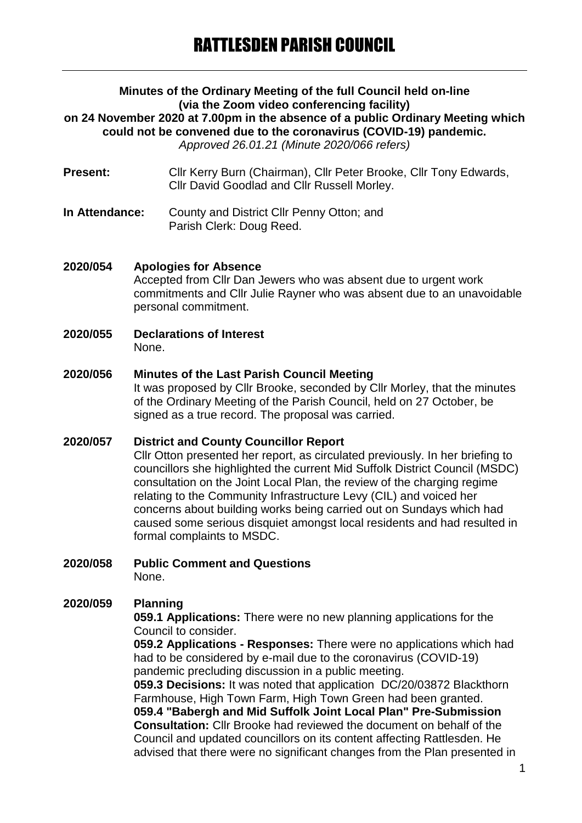## **Minutes of the Ordinary Meeting of the full Council held on-line (via the Zoom video conferencing facility) on 24 November 2020 at 7.00pm in the absence of a public Ordinary Meeting which could not be convened due to the coronavirus (COVID-19) pandemic.** *Approved 26.01.21 (Minute 2020/066 refers)*

- Present: Cllr Kerry Burn (Chairman), Cllr Peter Brooke, Cllr Tony Edwards, Cllr David Goodlad and Cllr Russell Morley.
- **In Attendance:** County and District Cllr Penny Otton; and Parish Clerk: Doug Reed.

## **2020/054 Apologies for Absence**

Accepted from Cllr Dan Jewers who was absent due to urgent work commitments and Cllr Julie Rayner who was absent due to an unavoidable personal commitment.

**2020/055 Declarations of Interest** None.

## **2020/056 Minutes of the Last Parish Council Meeting**

It was proposed by Cllr Brooke, seconded by Cllr Morley, that the minutes of the Ordinary Meeting of the Parish Council, held on 27 October, be signed as a true record. The proposal was carried.

#### **2020/057 District and County Councillor Report**

Cllr Otton presented her report, as circulated previously. In her briefing to councillors she highlighted the current Mid Suffolk District Council (MSDC) consultation on the Joint Local Plan, the review of the charging regime relating to the Community Infrastructure Levy (CIL) and voiced her concerns about building works being carried out on Sundays which had caused some serious disquiet amongst local residents and had resulted in formal complaints to MSDC.

**2020/058 Public Comment and Questions**

None.

## **2020/059 Planning**

**059.1 Applications:** There were no new planning applications for the Council to consider.

**059.2 Applications - Responses:** There were no applications which had had to be considered by e-mail due to the coronavirus (COVID-19) pandemic precluding discussion in a public meeting.

**059.3 Decisions:** It was noted that application DC/20/03872 Blackthorn Farmhouse, High Town Farm, High Town Green had been granted. **059.4 "Babergh and Mid Suffolk Joint Local Plan" Pre-Submission** 

**Consultation:** Cllr Brooke had reviewed the document on behalf of the Council and updated councillors on its content affecting Rattlesden. He advised that there were no significant changes from the Plan presented in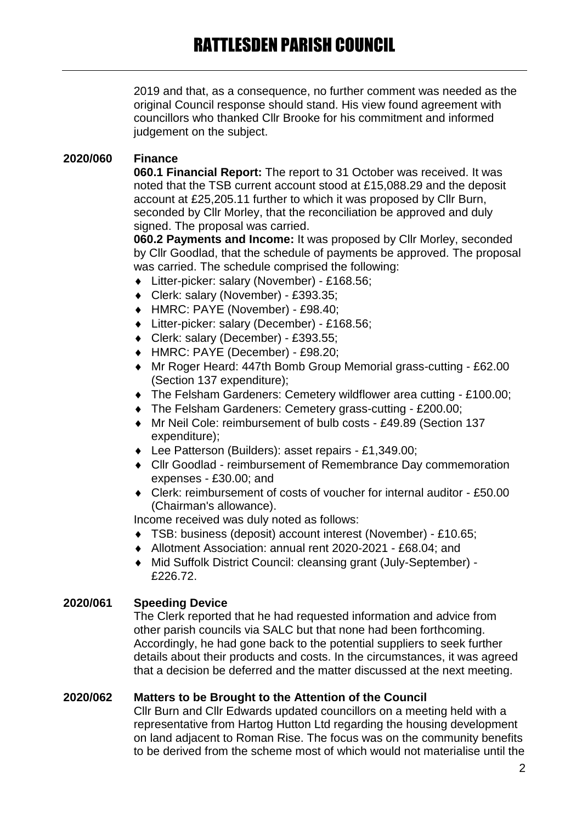2019 and that, as a consequence, no further comment was needed as the original Council response should stand. His view found agreement with councillors who thanked Cllr Brooke for his commitment and informed judgement on the subject.

# **2020/060 Finance**

**060.1 Financial Report:** The report to 31 October was received. It was noted that the TSB current account stood at £15,088.29 and the deposit account at £25,205.11 further to which it was proposed by Cllr Burn, seconded by Cllr Morley, that the reconciliation be approved and duly signed. The proposal was carried.

**060.2 Payments and Income:** It was proposed by Cllr Morley, seconded by Cllr Goodlad, that the schedule of payments be approved. The proposal was carried. The schedule comprised the following:

- Litter-picker: salary (November) £168.56;
- Clerk: salary (November) £393.35;
- HMRC: PAYE (November) £98.40;
- Litter-picker: salary (December) £168.56;
- Clerk: salary (December) £393.55;
- HMRC: PAYE (December) £98.20;
- Mr Roger Heard: 447th Bomb Group Memorial grass-cutting £62.00 (Section 137 expenditure);
- The Felsham Gardeners: Cemetery wildflower area cutting £100.00;
- The Felsham Gardeners: Cemetery grass-cutting £200.00;
- Mr Neil Cole: reimbursement of bulb costs £49.89 (Section 137 expenditure);
- Lee Patterson (Builders): asset repairs £1,349.00;
- Cllr Goodlad reimbursement of Remembrance Day commemoration expenses - £30.00; and
- Clerk: reimbursement of costs of voucher for internal auditor £50.00 (Chairman's allowance).

Income received was duly noted as follows:

- TSB: business (deposit) account interest (November) £10.65;
- Allotment Association: annual rent 2020-2021 £68.04; and
- Mid Suffolk District Council: cleansing grant (July-September) £226.72.

## **2020/061 Speeding Device**

The Clerk reported that he had requested information and advice from other parish councils via SALC but that none had been forthcoming. Accordingly, he had gone back to the potential suppliers to seek further details about their products and costs. In the circumstances, it was agreed that a decision be deferred and the matter discussed at the next meeting.

## **2020/062 Matters to be Brought to the Attention of the Council**

Cllr Burn and Cllr Edwards updated councillors on a meeting held with a representative from Hartog Hutton Ltd regarding the housing development on land adjacent to Roman Rise. The focus was on the community benefits to be derived from the scheme most of which would not materialise until the